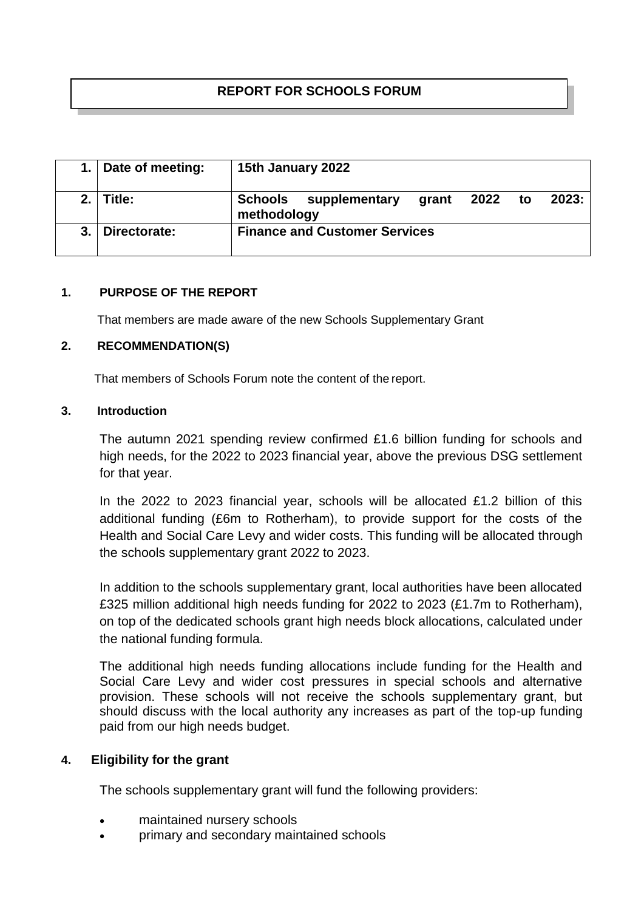# **REPORT FOR SCHOOLS FORUM**

|     | Date of meeting: | 15th January 2022                                                       |
|-----|------------------|-------------------------------------------------------------------------|
| 2.1 | Title:           | Schools<br>supplementary<br>2023:<br>2022<br>to<br>grant<br>methodology |
|     | Directorate:     | <b>Finance and Customer Services</b>                                    |

#### **1. PURPOSE OF THE REPORT**

That members are made aware of the new Schools Supplementary Grant

#### **2. RECOMMENDATION(S)**

That members of Schools Forum note the content of the report.

#### **3. Introduction**

The autumn 2021 spending review confirmed £1.6 billion funding for schools and high needs, for the 2022 to 2023 financial year, above the previous DSG settlement for that year.

In the 2022 to 2023 financial year, schools will be allocated £1.2 billion of this additional funding (£6m to Rotherham), to provide support for the costs of the Health and Social Care Levy and wider costs. This funding will be allocated through the schools supplementary grant 2022 to 2023.

In addition to the schools supplementary grant, local authorities have been allocated £325 million additional high needs funding for 2022 to 2023 (£1.7m to Rotherham), on top of the dedicated schools grant high needs block allocations, calculated under the national funding formula.

The additional high needs funding allocations include funding for the Health and Social Care Levy and wider cost pressures in special schools and alternative provision. These schools will not receive the schools supplementary grant, but should discuss with the local authority any increases as part of the top-up funding paid from our high needs budget.

#### **4. Eligibility for the grant**

The schools supplementary grant will fund the following providers:

- maintained nursery schools
- primary and secondary maintained schools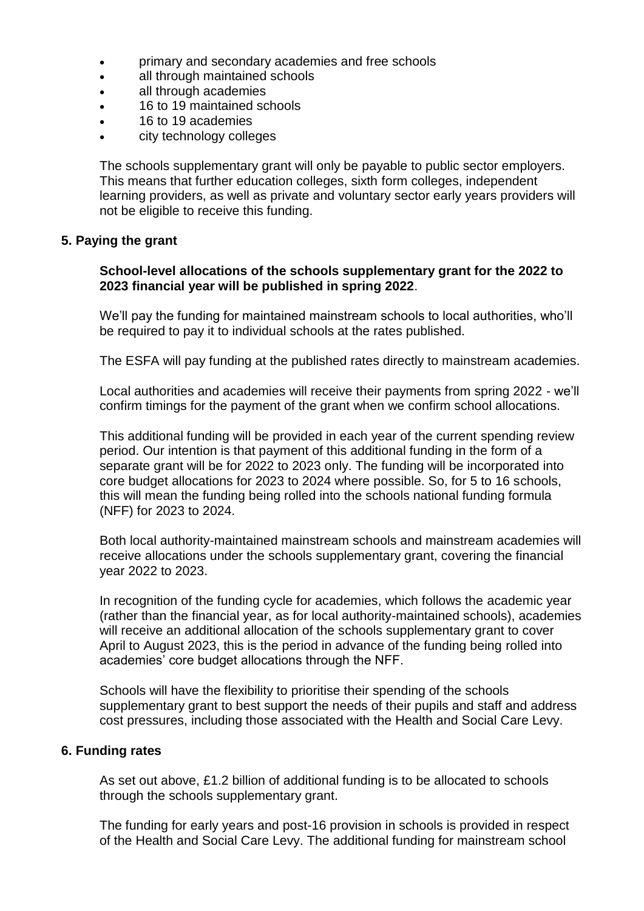- primary and secondary academies and free schools
- all through maintained schools
- all through academies
- 16 to 19 maintained schools
- 16 to 19 academies
- city technology colleges

The schools supplementary grant will only be payable to public sector employers. This means that further education colleges, sixth form colleges, independent learning providers, as well as private and voluntary sector early years providers will not be eligible to receive this funding.

# **5. Paying the grant**

## **School-level allocations of the schools supplementary grant for the 2022 to 2023 financial year will be published in spring 2022**.

We'll pay the funding for maintained mainstream schools to local authorities, who'll be required to pay it to individual schools at the rates published.

The ESFA will pay funding at the published rates directly to mainstream academies.

Local authorities and academies will receive their payments from spring 2022 - we'll confirm timings for the payment of the grant when we confirm school allocations.

This additional funding will be provided in each year of the current spending review period. Our intention is that payment of this additional funding in the form of a separate grant will be for 2022 to 2023 only. The funding will be incorporated into core budget allocations for 2023 to 2024 where possible. So, for 5 to 16 schools, this will mean the funding being rolled into the schools national funding formula (NFF) for 2023 to 2024.

Both local authority-maintained mainstream schools and mainstream academies will receive allocations under the schools supplementary grant, covering the financial year 2022 to 2023.

In recognition of the funding cycle for academies, which follows the academic year (rather than the financial year, as for local authority-maintained schools), academies will receive an additional allocation of the schools supplementary grant to cover April to August 2023, this is the period in advance of the funding being rolled into academies' core budget allocations through the NFF.

Schools will have the flexibility to prioritise their spending of the schools supplementary grant to best support the needs of their pupils and staff and address cost pressures, including those associated with the Health and Social Care Levy.

#### **6. Funding rates**

As set out above, £1.2 billion of additional funding is to be allocated to schools through the schools supplementary grant.

The funding for early years and post-16 provision in schools is provided in respect of the Health and Social Care Levy. The additional funding for mainstream school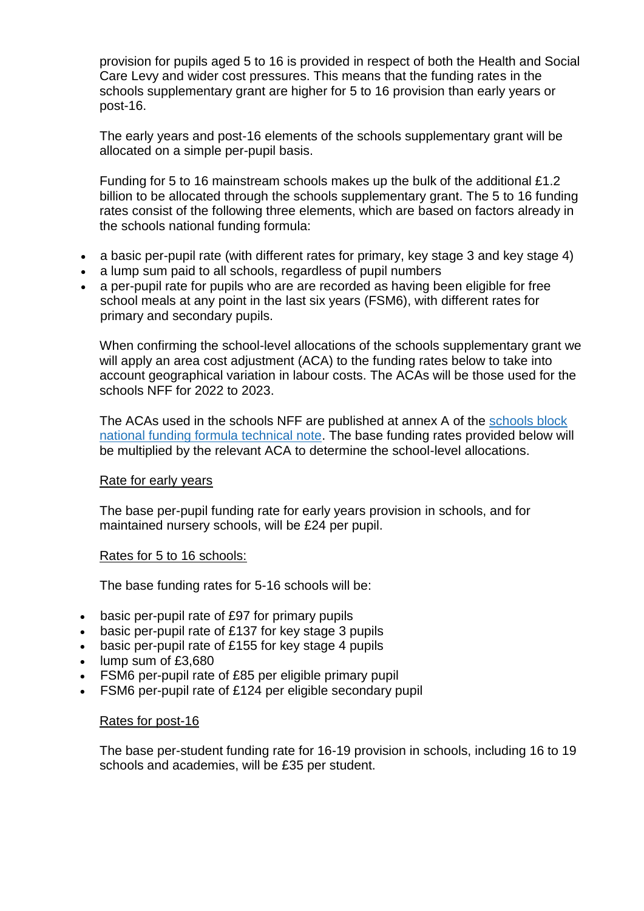provision for pupils aged 5 to 16 is provided in respect of both the Health and Social Care Levy and wider cost pressures. This means that the funding rates in the schools supplementary grant are higher for 5 to 16 provision than early years or post-16.

The early years and post-16 elements of the schools supplementary grant will be allocated on a simple per-pupil basis.

Funding for 5 to 16 mainstream schools makes up the bulk of the additional £1.2 billion to be allocated through the schools supplementary grant. The 5 to 16 funding rates consist of the following three elements, which are based on factors already in the schools national funding formula:

- a basic per-pupil rate (with different rates for primary, key stage 3 and key stage 4)
- a lump sum paid to all schools, regardless of pupil numbers
- a per-pupil rate for pupils who are are recorded as having been eligible for free school meals at any point in the last six years (FSM6), with different rates for primary and secondary pupils.

When confirming the school-level allocations of the schools supplementary grant we will apply an area cost adjustment (ACA) to the funding rates below to take into account geographical variation in labour costs. The ACAs will be those used for the schools NFF for 2022 to 2023.

The ACAs used in the schools NFF are published at annex A of the [schools block](https://www.gov.uk/government/publications/national-funding-formula-tables-for-schools-and-high-needs-2022-to-2023)  [national funding formula technical note.](https://www.gov.uk/government/publications/national-funding-formula-tables-for-schools-and-high-needs-2022-to-2023) The base funding rates provided below will be multiplied by the relevant ACA to determine the school-level allocations.

#### Rate for early years

The base per-pupil funding rate for early years provision in schools, and for maintained nursery schools, will be £24 per pupil.

#### Rates for 5 to 16 schools:

The base funding rates for 5-16 schools will be:

- basic per-pupil rate of £97 for primary pupils
- basic per-pupil rate of £137 for key stage 3 pupils
- basic per-pupil rate of £155 for key stage 4 pupils
- lump sum of £3,680
- FSM6 per-pupil rate of £85 per eligible primary pupil
- FSM6 per-pupil rate of £124 per eligible secondary pupil

#### Rates for post-16

The base per-student funding rate for 16-19 provision in schools, including 16 to 19 schools and academies, will be £35 per student.